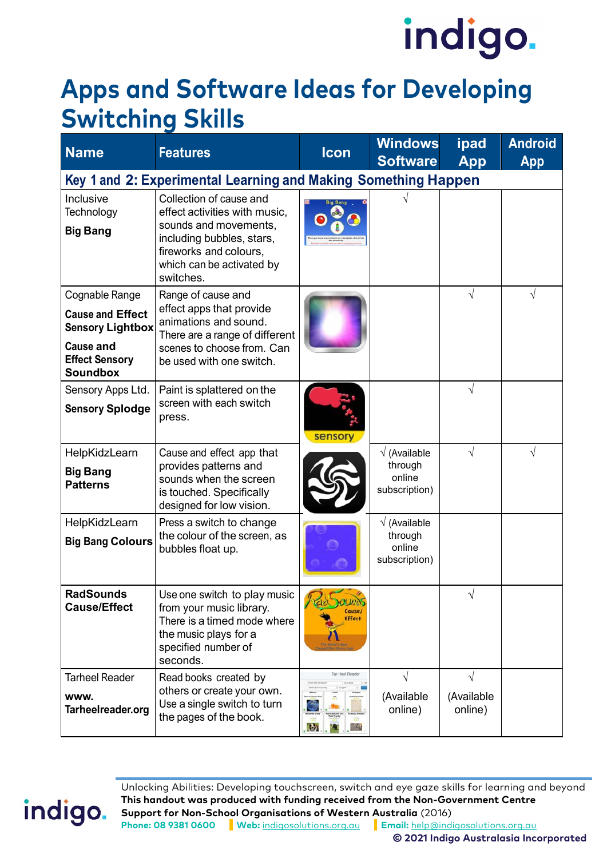### **Apps and Software Ideas for Developing Switching Skills**

| <b>Name</b>                                                                                                                          | <b>Features</b>                                                                                                                                                                    | <b>Icon</b>                            | <b>Windows</b><br><b>Software</b>                          | ipad<br><b>App</b>                  | <b>Android</b><br>App |  |
|--------------------------------------------------------------------------------------------------------------------------------------|------------------------------------------------------------------------------------------------------------------------------------------------------------------------------------|----------------------------------------|------------------------------------------------------------|-------------------------------------|-----------------------|--|
| Key 1 and 2: Experimental Learning and Making Something Happen                                                                       |                                                                                                                                                                                    |                                        |                                                            |                                     |                       |  |
| Inclusive<br>Technology<br><b>Big Bang</b>                                                                                           | Collection of cause and<br>effect activities with music,<br>sounds and movements,<br>including bubbles, stars,<br>fireworks and colours,<br>which can be activated by<br>switches. |                                        |                                                            |                                     |                       |  |
| Cognable Range<br><b>Cause and Effect</b><br><b>Sensory Lightbox</b><br><b>Cause and</b><br><b>Effect Sensory</b><br><b>Soundbox</b> | Range of cause and<br>effect apps that provide<br>animations and sound.<br>There are a range of different<br>scenes to choose from. Can<br>be used with one switch.                |                                        |                                                            | $\sqrt{}$                           | V                     |  |
| Sensory Apps Ltd.<br><b>Sensory Splodge</b>                                                                                          | Paint is splattered on the<br>screen with each switch<br>press.                                                                                                                    | sensory                                |                                                            | $\sqrt{}$                           |                       |  |
| HelpKidzLearn<br><b>Big Bang</b><br><b>Patterns</b>                                                                                  | Cause and effect app that<br>provides patterns and<br>sounds when the screen<br>is touched. Specifically<br>designed for low vision.                                               |                                        | $\sqrt{}$ (Available<br>through<br>online<br>subscription) | $\sqrt{}$                           | $\sqrt{}$             |  |
| HelpKidzLearn<br><b>Big Bang Colours</b>                                                                                             | Press a switch to change<br>the colour of the screen, as<br>bubbles float up.                                                                                                      |                                        | $\sqrt{}$ (Available<br>through<br>online<br>subscription) |                                     |                       |  |
| <b>RadSounds</b><br><b>Cause/Effect</b>                                                                                              | Use one switch to play music<br>from your music library.<br>There is a timed mode where<br>the music plays for a<br>specified number of<br>seconds.                                | <b>Cause</b><br><b>Effect</b>          |                                                            |                                     |                       |  |
| <b>Tarheel Reader</b><br><b>WWW.</b><br>Tarheelreader.org                                                                            | Read books created by<br>others or create your own.<br>Use a single switch to turn<br>the pages of the book.                                                                       | Tar Heel Reade<br>M)<br>$\mathbf{b}_1$ | $\sqrt{ }$<br>(Available<br>online)                        | $\sqrt{ }$<br>(Available<br>online) |                       |  |

Unlocking Abilities: Developing touchscreen, switch and eye gaze skills for learning and beyond **This handout was produced with funding received from the Non-Government Centre Support for Non-School Organisations of Western Australia** (2016) **Phone: 08 9381 0600 Web:** [indigosolutions.org.au](https://www.indigosolutions.org.au/) **Email:** [help@indigosolutions.org.au](mailto:help@indigosolutions.org.au)

indigo.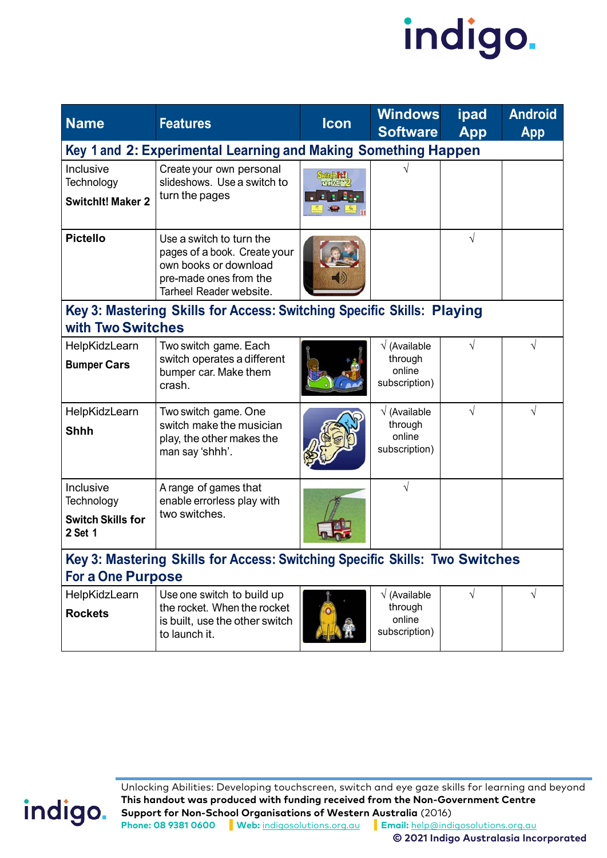

| <b>Name</b>                                                                 | <b>Features</b>                                                                                                                        | <b>Icon</b>      | <b>Windows</b><br><b>Software</b>                          | ipad<br>App | <b>Android</b><br><b>App</b> |  |
|-----------------------------------------------------------------------------|----------------------------------------------------------------------------------------------------------------------------------------|------------------|------------------------------------------------------------|-------------|------------------------------|--|
| Key 1 and 2: Experimental Learning and Making Something Happen              |                                                                                                                                        |                  |                                                            |             |                              |  |
| Inclusive<br>Technology<br><b>SwitchIt! Maker 2</b>                         | Create your own personal<br>slideshows. Use a switch to<br>turn the pages                                                              | maker 2<br>2.133 |                                                            |             |                              |  |
| <b>Pictello</b>                                                             | Use a switch to turn the<br>pages of a book. Create your<br>own books or download<br>pre-made ones from the<br>Tarheel Reader website. |                  |                                                            |             |                              |  |
| with Two Switches                                                           | Key 3: Mastering Skills for Access: Switching Specific Skills: Playing                                                                 |                  |                                                            |             |                              |  |
| HelpKidzLearn                                                               | Two switch game. Each                                                                                                                  |                  | (Available                                                 |             |                              |  |
| <b>Bumper Cars</b>                                                          | switch operates a different<br>bumper car. Make them<br>crash.                                                                         |                  | through<br>online<br>subscription)                         |             |                              |  |
| HelpKidzLearn<br><b>Shhh</b>                                                | Two switch game. One<br>switch make the musician<br>play, the other makes the<br>man say 'shhh'.                                       |                  | $\sqrt{}$ (Available<br>through<br>online<br>subscription) |             | V                            |  |
| Inclusive                                                                   | A range of games that                                                                                                                  |                  | $\sqrt{}$                                                  |             |                              |  |
| Technology<br><b>Switch Skills for</b><br>2 Set 1                           | enable errorless play with<br>two switches.                                                                                            |                  |                                                            |             |                              |  |
| Key 3: Mastering Skills for Access: Switching Specific Skills: Two Switches |                                                                                                                                        |                  |                                                            |             |                              |  |
| <b>For a One Purpose</b>                                                    |                                                                                                                                        |                  |                                                            |             |                              |  |
| HelpKidzLearn<br><b>Rockets</b>                                             | Use one switch to build up<br>the rocket. When the rocket<br>is built, use the other switch<br>to launch it.                           |                  | $\sqrt{}$ (Available<br>through<br>online<br>subscription) | V           | $\sqrt{ }$                   |  |

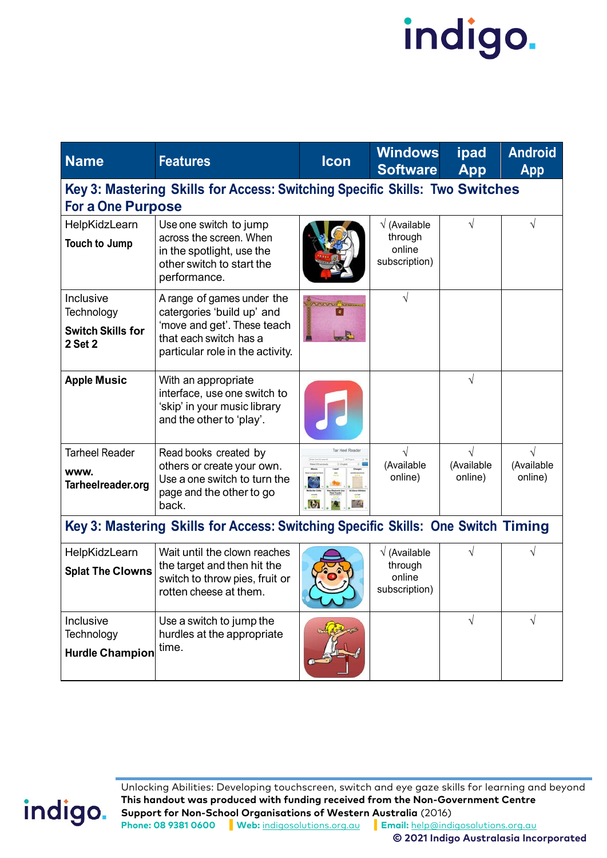| <b>Name</b>                                                                                             | <b>Features</b>                                                                                                                                       | Icon                      | <b>Windows</b><br><b>Software</b>                          | ipad<br><b>App</b>    | <b>Android</b><br><b>App</b>       |  |
|---------------------------------------------------------------------------------------------------------|-------------------------------------------------------------------------------------------------------------------------------------------------------|---------------------------|------------------------------------------------------------|-----------------------|------------------------------------|--|
| Key 3: Mastering Skills for Access: Switching Specific Skills: Two Switches<br><b>For a One Purpose</b> |                                                                                                                                                       |                           |                                                            |                       |                                    |  |
| HelpKidzLearn<br><b>Touch to Jump</b>                                                                   | Use one switch to jump<br>across the screen. When<br>in the spotlight, use the<br>other switch to start the<br>performance.                           |                           | $\sqrt{}$ (Available<br>through<br>online<br>subscription) |                       |                                    |  |
| Inclusive<br>Technology<br><b>Switch Skills for</b><br>2 Set 2                                          | A range of games under the<br>catergories 'build up' and<br>'move and get'. These teach<br>that each switch has a<br>particular role in the activity. | $\bullet$<br>$\mathbb{R}$ | V                                                          |                       |                                    |  |
| <b>Apple Music</b>                                                                                      | With an appropriate<br>interface, use one switch to<br>'skip' in your music library<br>and the other to 'play'.                                       |                           |                                                            |                       |                                    |  |
| <b>Tarheel Reader</b><br>WWW.<br>Tarheelreader.org                                                      | Read books created by<br>others or create your own.<br>Use a one switch to turn the<br>page and the other to go<br>back.                              | <b>O</b><br>圖             | (Available<br>online)                                      | (Available<br>online) | $\sqrt{}$<br>(Available<br>online) |  |
| Key 3: Mastering Skills for Access: Switching Specific Skills: One Switch Timing                        |                                                                                                                                                       |                           |                                                            |                       |                                    |  |
| HelpKidzLearn<br><b>Splat The Clowns</b>                                                                | Wait until the clown reaches<br>the target and then hit the<br>switch to throw pies, fruit or<br>rotten cheese at them.                               |                           | $\sqrt{}$ (Available<br>through<br>online<br>subscription) |                       |                                    |  |
| Inclusive<br>Technology<br><b>Hurdle Champion</b>                                                       | Use a switch to jump the<br>hurdles at the appropriate<br>time.                                                                                       |                           |                                                            | $\sqrt{}$             | $\sqrt{}$                          |  |

indigo.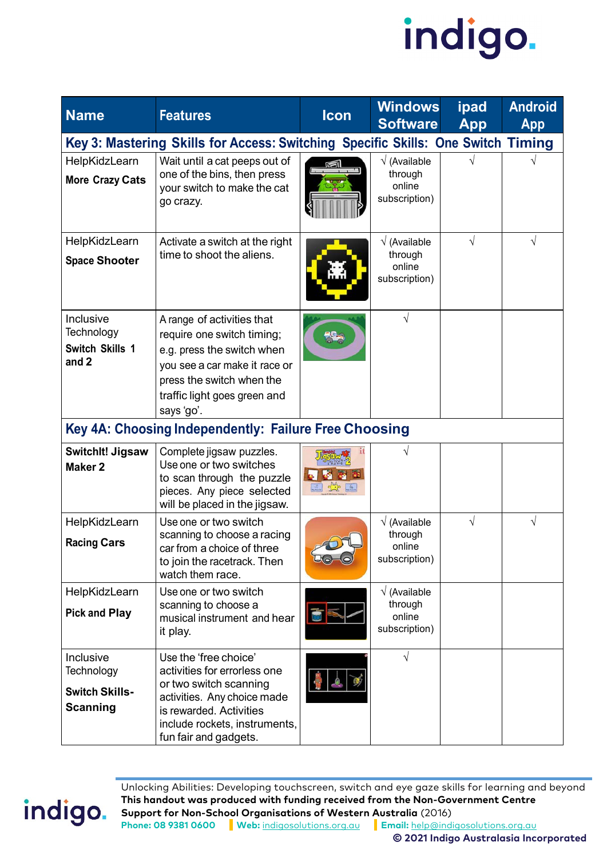

| <b>Name</b>                                                                      | <b>Features</b>                                                                                                                                                                                     | <b>Icon</b>   | <b>Windows</b><br><b>Software</b>                          | ipad<br>App | <b>Android</b><br><b>App</b> |  |
|----------------------------------------------------------------------------------|-----------------------------------------------------------------------------------------------------------------------------------------------------------------------------------------------------|---------------|------------------------------------------------------------|-------------|------------------------------|--|
| Key 3: Mastering Skills for Access: Switching Specific Skills: One Switch Timing |                                                                                                                                                                                                     |               |                                                            |             |                              |  |
| HelpKidzLearn<br><b>More Crazy Cats</b>                                          | Wait until a cat peeps out of<br>one of the bins, then press<br>your switch to make the cat<br>go crazy.                                                                                            |               | $\sqrt{}$ (Available<br>through<br>online<br>subscription) |             |                              |  |
| HelpKidzLearn<br><b>Space Shooter</b>                                            | Activate a switch at the right<br>time to shoot the aliens.                                                                                                                                         |               | $\sqrt{}$ (Available<br>through<br>online<br>subscription) | $\sqrt{}$   | V                            |  |
| Inclusive<br>Technology<br><b>Switch Skills 1</b><br>and 2                       | A range of activities that<br>require one switch timing;<br>e.g. press the switch when<br>you see a car make it race or<br>press the switch when the<br>traffic light goes green and<br>says 'go'.  |               | $\sqrt{}$                                                  |             |                              |  |
|                                                                                  | Key 4A: Choosing Independently: Failure Free Choosing                                                                                                                                               |               |                                                            |             |                              |  |
| <b>Switchlt! Jigsaw</b><br><b>Maker 2</b>                                        | Complete jigsaw puzzles.<br>Use one or two switches<br>to scan through the puzzle<br>pieces. Any piece selected<br>will be placed in the jigsaw.                                                    | $\rightarrow$ | V                                                          |             |                              |  |
| HelpKidzLearn<br><b>Racing Cars</b>                                              | Use one or two switch<br>scanning to choose a racing<br>car from a choice of three<br>to join the racetrack. Then<br>watch them race.                                                               | <b>BO-0</b>   | √ (Available<br>through<br>online<br>subscription)         | $\sqrt{}$   |                              |  |
| HelpKidzLearn<br><b>Pick and Play</b>                                            | Use one or two switch<br>scanning to choose a<br>musical instrument and hear<br>it play.                                                                                                            | $\frac{1}{2}$ | $\sqrt{}$ (Available<br>through<br>online<br>subscription) |             |                              |  |
| Inclusive<br>Technology<br><b>Switch Skills-</b><br><b>Scanning</b>              | Use the 'free choice'<br>activities for errorless one<br>or two switch scanning<br>activities. Any choice made<br>is rewarded. Activities<br>include rockets, instruments,<br>fun fair and gadgets. |               | $\sqrt{}$                                                  |             |                              |  |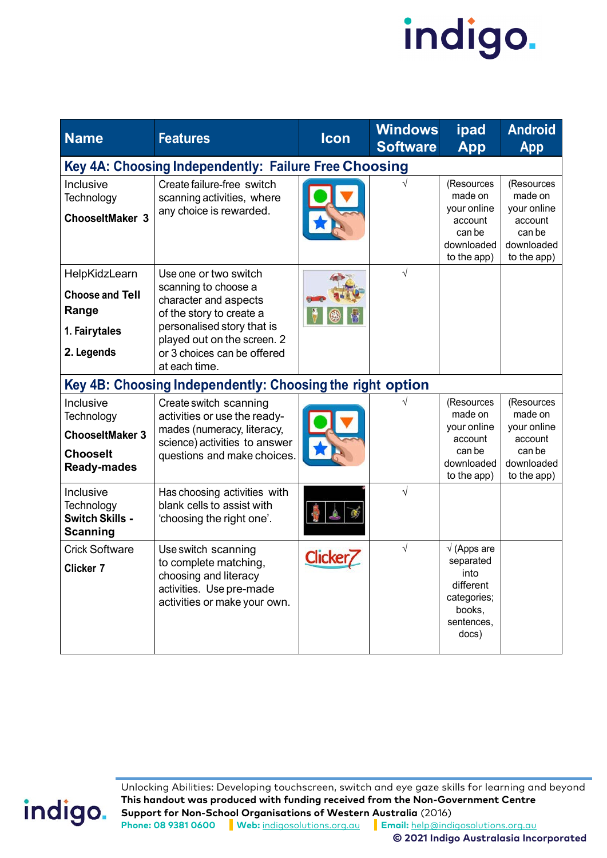| <b>Name</b>                                                                                | <b>Features</b>                                                                                                                                                                                                 | Icon    | <b>Windows</b><br><b>Software</b> | ipad<br><b>App</b>                                                                                    | <b>Android</b><br><b>App</b>                                                           |
|--------------------------------------------------------------------------------------------|-----------------------------------------------------------------------------------------------------------------------------------------------------------------------------------------------------------------|---------|-----------------------------------|-------------------------------------------------------------------------------------------------------|----------------------------------------------------------------------------------------|
|                                                                                            | Key 4A: Choosing Independently: Failure Free Choosing                                                                                                                                                           |         |                                   |                                                                                                       |                                                                                        |
| Inclusive<br>Technology<br><b>ChooseItMaker 3</b>                                          | Create failure-free switch<br>scanning activities, where<br>any choice is rewarded.                                                                                                                             |         |                                   | (Resources<br>made on<br>your online<br>account<br>can be<br>downloaded<br>to the app)                | (Resources<br>made on<br>your online<br>account<br>can be<br>downloaded<br>to the app) |
| HelpKidzLearn<br><b>Choose and Tell</b><br>Range<br>1. Fairytales<br>2. Legends            | Use one or two switch<br>scanning to choose a<br>character and aspects<br>of the story to create a<br>personalised story that is<br>played out on the screen. 2<br>or 3 choices can be offered<br>at each time. |         | $\sqrt{}$                         |                                                                                                       |                                                                                        |
|                                                                                            | Key 4B: Choosing Independently: Choosing the right option                                                                                                                                                       |         |                                   |                                                                                                       |                                                                                        |
| Inclusive<br>Technology<br><b>ChooseItMaker 3</b><br><b>Chooselt</b><br><b>Ready-mades</b> | Create switch scanning<br>activities or use the ready-<br>mades (numeracy, literacy,<br>science) activities to answer<br>questions and make choices.                                                            |         |                                   | (Resources<br>made on<br>your online<br>account<br>can be<br>downloaded<br>to the app)                | (Resources<br>made on<br>your online<br>account<br>can be<br>downloaded<br>to the app) |
| Inclusive<br>Technology<br><b>Switch Skills -</b><br>Scanning                              | Has choosing activities with<br>blank cells to assist with<br>'choosing the right one'.                                                                                                                         |         | V                                 |                                                                                                       |                                                                                        |
| <b>Crick Software</b><br><b>Clicker 7</b>                                                  | Use switch scanning<br>to complete matching,<br>choosing and literacy<br>activities. Use pre-made<br>activities or make your own.                                                                               | Clicker | $\sqrt{}$                         | $\sqrt{}$ (Apps are<br>separated<br>into<br>different<br>categories;<br>books,<br>sentences,<br>docs) |                                                                                        |